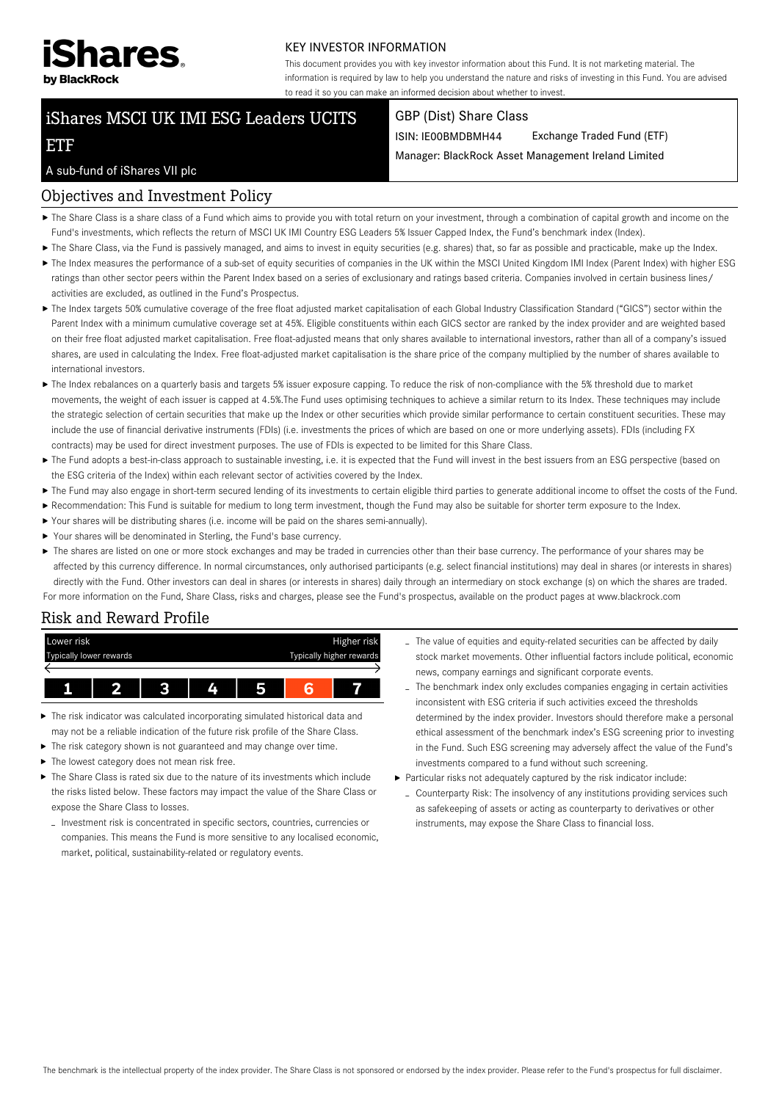

#### KEY INVESTOR INFORMATION

This document provides you with key investor information about this Fund. It is not marketing material. The information is required by law to help you understand the nature and risks of investing in this Fund. You are advised to read it so you can make an informed decision about whether to invest.

# iShares MSCI UK IMI ESG Leaders UCITS

#### GBP (Dist) Share Class

ISIN: IE00BMDBMH44 Exchange Traded Fund (ETF)

Manager: BlackRock Asset Management Ireland Limited

#### A sub-fund of iShares VII plc

ETF

## Objectives and Investment Policy

- ▶ The Share Class is a share class of a Fund which aims to provide you with total return on your investment, through a combination of capital growth and income on the Fund's investments, which reflects the return of MSCI UK IMI Country ESG Leaders 5% Issuer Capped Index, the Fund's benchmark index (Index).
- ▶ The Share Class, via the Fund is passively managed, and aims to invest in equity securities (e.g. shares) that, so far as possible and practicable, make up the Index.
- ▶ The Index measures the performance of a sub-set of equity securities of companies in the UK within the MSCI United Kingdom IMI Index (Parent Index) with higher ESG ratings than other sector peers within the Parent Index based on a series of exclusionary and ratings based criteria. Companies involved in certain business lines/ activities are excluded, as outlined in the Fund's Prospectus.
- The Index targets 50% cumulative coverage of the free float adjusted market capitalisation of each Global Industry Classification Standard ("GICS") sector within the Parent Index with a minimum cumulative coverage set at 45%. Eligible constituents within each GICS sector are ranked by the index provider and are weighted based on their free float adjusted market capitalisation. Free float-adjusted means that only shares available to international investors, rather than all of a company's issued shares, are used in calculating the Index. Free float-adjusted market capitalisation is the share price of the company multiplied by the number of shares available to international investors.
- ▶ The Index rebalances on a quarterly basis and targets 5% issuer exposure capping. To reduce the risk of non-compliance with the 5% threshold due to market movements, the weight of each issuer is capped at 4.5%.The Fund uses optimising techniques to achieve a similar return to its Index. These techniques may include the strategic selection of certain securities that make up the Index or other securities which provide similar performance to certain constituent securities. These may include the use of financial derivative instruments (FDIs) (i.e. investments the prices of which are based on one or more underlying assets). FDIs (including FX contracts) may be used for direct investment purposes. The use of FDIs is expected to be limited for this Share Class.
- ▶ The Fund adopts a best-in-class approach to sustainable investing, i.e. it is expected that the Fund will invest in the best issuers from an ESG perspective (based on the ESG criteria of the Index) within each relevant sector of activities covered by the Index.
- ▶ The Fund may also engage in short-term secured lending of its investments to certain eligible third parties to generate additional income to offset the costs of the Fund.
- Recommendation: This Fund is suitable for medium to long term investment, though the Fund may also be suitable for shorter term exposure to the Index.
- Your shares will be distributing shares (i.e. income will be paid on the shares semi-annually).
- ▶ Your shares will be denominated in Sterling, the Fund's base currency.
- ▶ The shares are listed on one or more stock exchanges and may be traded in currencies other than their base currency. The performance of your shares may be affected by this currency difference. In normal circumstances, only authorised participants (e.g. select financial institutions) may deal in shares (or interests in shares) directly with the Fund. Other investors can deal in shares (or interests in shares) daily through an intermediary on stock exchange (s) on which the shares are traded. For more information on the Fund, Share Class, risks and charges, please see the Fund's prospectus, available on the product pages at www.blackrock.com

## Risk and Reward Profile

| Lower risk              |  |  |   |                          |  | Higher risk |
|-------------------------|--|--|---|--------------------------|--|-------------|
| Typically lower rewards |  |  |   | Typically higher rewards |  |             |
|                         |  |  |   |                          |  |             |
|                         |  |  |   |                          |  |             |
|                         |  |  | 4 | 5                        |  |             |

- The risk indicator was calculated incorporating simulated historical data and may not be a reliable indication of the future risk profile of the Share Class.
- $\blacktriangleright$  The risk category shown is not guaranteed and may change over time.
- $\blacktriangleright$  The lowest category does not mean risk free.
- The Share Class is rated six due to the nature of its investments which include the risks listed below. These factors may impact the value of the Share Class or expose the Share Class to losses.
	- Investment risk is concentrated in specific sectors, countries, currencies or companies. This means the Fund is more sensitive to any localised economic, market, political, sustainability-related or regulatory events.
- The value of equities and equity-related securities can be affected by daily stock market movements. Other influential factors include political, economic news, company earnings and significant corporate events.
- The benchmark index only excludes companies engaging in certain activities inconsistent with ESG criteria if such activities exceed the thresholds determined by the index provider. Investors should therefore make a personal ethical assessment of the benchmark index's ESG screening prior to investing in the Fund. Such ESG screening may adversely affect the value of the Fund's investments compared to a fund without such screening.
- Particular risks not adequately captured by the risk indicator include:
	- Counterparty Risk: The insolvency of any institutions providing services such as safekeeping of assets or acting as counterparty to derivatives or other instruments, may expose the Share Class to financial loss.